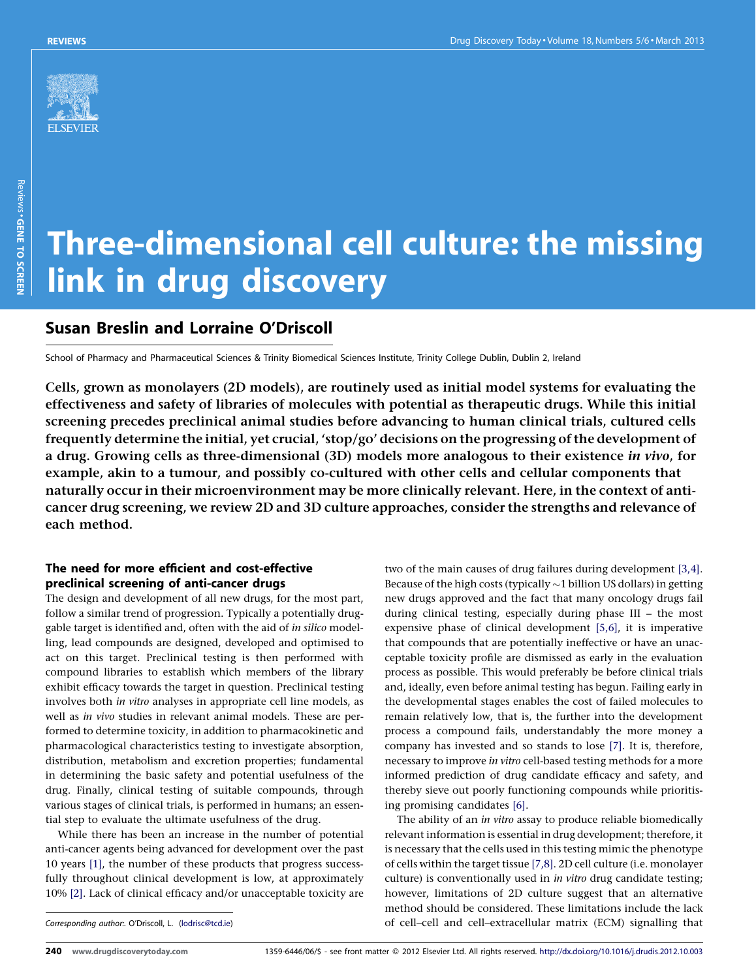# Three-dimensional cell culture: the missing link in drug discovery

## Susan Breslin and Lorraine O'Driscoll

School of Pharmacy and Pharmaceutical Sciences & Trinity Biomedical Sciences Institute, Trinity College Dublin, Dublin 2, Ireland

Cells, grown as monolayers (2D models), are routinely used as initial model systems for evaluating the effectiveness and safety of libraries of molecules with potential as therapeutic drugs. While this initial screening precedes preclinical animal studies before advancing to human clinical trials, cultured cells frequently determine the initial, yet crucial, 'stop/go' decisions on the progressing ofthe development of a drug. Growing cells as three-dimensional (3D) models more analogous to their existence in vivo, for example, akin to a tumour, and possibly co-cultured with other cells and cellular components that naturally occur in their microenvironment may be more clinically relevant. Here, in the context of anticancer drug screening, we review 2D and 3D culture approaches, consider the strengths and relevance of each method.

## The need for more efficient and cost-effective preclinical screening of anti-cancer drugs

The design and development of all new drugs, for the most part, follow a similar trend of progression. Typically a potentially druggable target is identified and, often with the aid of in silico modelling, lead compounds are designed, developed and optimised to act on this target. Preclinical testing is then performed with compound libraries to establish which members of the library exhibit efficacy towards the target in question. Preclinical testing involves both in vitro analyses in appropriate cell line models, as well as in vivo studies in relevant animal models. These are performed to determine toxicity, in addition to pharmacokinetic and pharmacological characteristics testing to investigate absorption, distribution, metabolism and excretion properties; fundamental in determining the basic safety and potential usefulness of the drug. Finally, clinical testing of suitable compounds, through various stages of clinical trials, is performed in humans; an essential step to evaluate the ultimate usefulness of the drug.

While there has been an increase in the number of potential anti-cancer agents being advanced for development over the past 10 years [\[1\],](#page-8-0) the number of these products that progress successfully throughout clinical development is low, at approximately 10% [\[2\]](#page-8-0). Lack of clinical efficacy and/or unacceptable toxicity are two of the main causes of drug failures during development [\[3,4\]](#page-8-0). Because of the high costs (typically  $\sim$  1 billion US dollars) in getting new drugs approved and the fact that many oncology drugs fail during clinical testing, especially during phase III – the most expensive phase of clinical development [\[5,6\],](#page-8-0) it is imperative that compounds that are potentially ineffective or have an unacceptable toxicity profile are dismissed as early in the evaluation process as possible. This would preferably be before clinical trials and, ideally, even before animal testing has begun. Failing early in the developmental stages enables the cost of failed molecules to remain relatively low, that is, the further into the development process a compound fails, understandably the more money a company has invested and so stands to lose [\[7\]](#page-8-0). It is, therefore, necessary to improve in vitro cell-based testing methods for a more informed prediction of drug candidate efficacy and safety, and thereby sieve out poorly functioning compounds while prioritising promising candidates [\[6\].](#page-8-0)

The ability of an in vitro assay to produce reliable biomedically relevant information is essential in drug development; therefore, it is necessary that the cells used in this testing mimic the phenotype of cells within the target tissue [\[7,8\].](#page-8-0) 2D cell culture (i.e. monolayer culture) is conventionally used in in vitro drug candidate testing; however, limitations of 2D culture suggest that an alternative method should be considered. These limitations include the lack of cell–cell and cell–extracellular matrix (ECM) signalling that

Corresponding author:. O'Driscoll, L. ([lodrisc@tcd.ie\)](mailto:lodrisc@tcd.ie)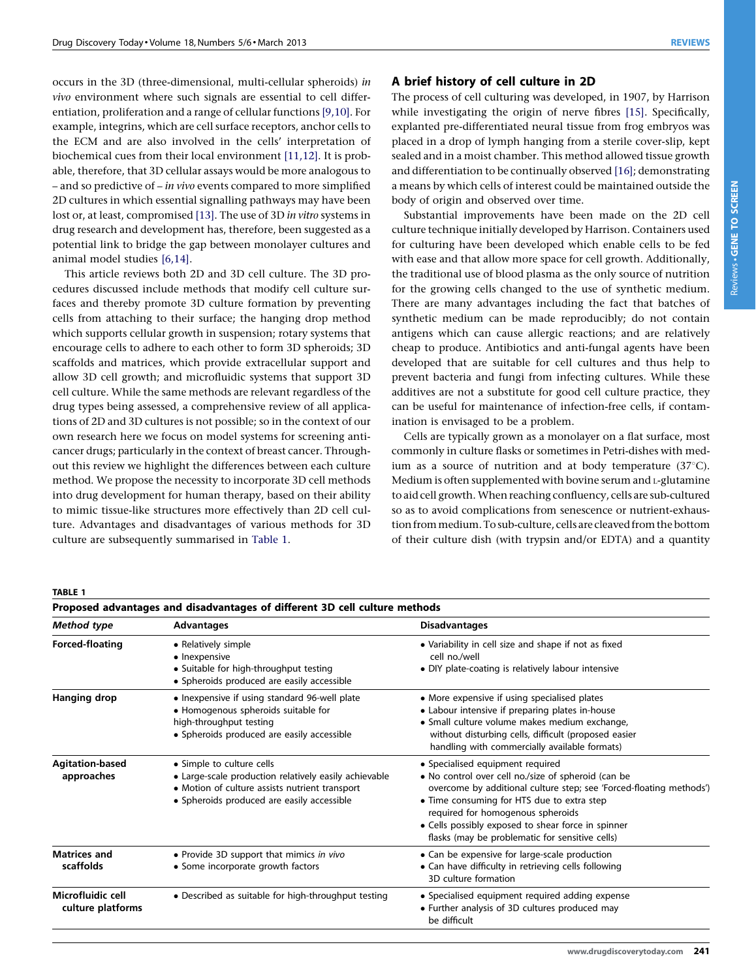<span id="page-1-0"></span>occurs in the 3D (three-dimensional, multi-cellular spheroids) in vivo environment where such signals are essential to cell differentiation, proliferation and a range of cellular functions [\[9,10\].](#page-8-0) For example, integrins, which are cell surface receptors, anchor cells to the ECM and are also involved in the cells' interpretation of biochemical cues from their local environment [\[11,12\].](#page-8-0) It is probable, therefore, that 3D cellular assays would be more analogous to – and so predictive of – in vivo events compared to more simplified 2D cultures in which essential signalling pathways may have been lost or, at least, compromised [\[13\].](#page-8-0) The use of 3D in vitro systems in drug research and development has, therefore, been suggested as a potential link to bridge the gap between monolayer cultures and animal model studies [\[6,14\].](#page-8-0)

This article reviews both 2D and 3D cell culture. The 3D procedures discussed include methods that modify cell culture surfaces and thereby promote 3D culture formation by preventing cells from attaching to their surface; the hanging drop method which supports cellular growth in suspension; rotary systems that encourage cells to adhere to each other to form 3D spheroids; 3D scaffolds and matrices, which provide extracellular support and allow 3D cell growth; and microfluidic systems that support 3D cell culture. While the same methods are relevant regardless of the drug types being assessed, a comprehensive review of all applications of 2D and 3D cultures is not possible; so in the context of our own research here we focus on model systems for screening anticancer drugs; particularly in the context of breast cancer. Throughout this review we highlight the differences between each culture method. We propose the necessity to incorporate 3D cell methods into drug development for human therapy, based on their ability to mimic tissue-like structures more effectively than 2D cell culture. Advantages and disadvantages of various methods for 3D culture are subsequently summarised in Table 1.

Reviews -

Reviews . GENE TO SCREEN GENE TO SCREEN

## A brief history of cell culture in 2D

The process of cell culturing was developed, in 1907, by Harrison while investigating the origin of nerve fibres [\[15\]](#page-8-0). Specifically, explanted pre-differentiated neural tissue from frog embryos was placed in a drop of lymph hanging from a sterile cover-slip, kept sealed and in a moist chamber. This method allowed tissue growth and differentiation to be continually observed [\[16\]](#page-8-0); demonstrating a means by which cells of interest could be maintained outside the body of origin and observed over time.

Substantial improvements have been made on the 2D cell culture technique initially developed by Harrison. Containers used for culturing have been developed which enable cells to be fed with ease and that allow more space for cell growth. Additionally, the traditional use of blood plasma as the only source of nutrition for the growing cells changed to the use of synthetic medium. There are many advantages including the fact that batches of synthetic medium can be made reproducibly; do not contain antigens which can cause allergic reactions; and are relatively cheap to produce. Antibiotics and anti-fungal agents have been developed that are suitable for cell cultures and thus help to prevent bacteria and fungi from infecting cultures. While these additives are not a substitute for good cell culture practice, they can be useful for maintenance of infection-free cells, if contamination is envisaged to be a problem.

Cells are typically grown as a monolayer on a flat surface, most commonly in culture flasks or sometimes in Petri-dishes with medium as a source of nutrition and at body temperature  $(37^{\circ}C)$ . Medium is often supplemented with bovine serum and L-glutamine to aid cell growth. When reaching confluency, cells are sub-cultured so as to avoid complications from senescence or nutrient-exhaustion from medium. To sub-culture, cells are cleaved from the bottom of their culture dish (with trypsin and/or EDTA) and a quantity

 $T = T$ 

| Proposed advantages and disadvantages of different 3D cell culture methods |                                                                                                                                                                                    |                                                                                                                                                                                                                                                                                                                                                            |  |  |
|----------------------------------------------------------------------------|------------------------------------------------------------------------------------------------------------------------------------------------------------------------------------|------------------------------------------------------------------------------------------------------------------------------------------------------------------------------------------------------------------------------------------------------------------------------------------------------------------------------------------------------------|--|--|
| <b>Method type</b>                                                         | <b>Advantages</b>                                                                                                                                                                  | <b>Disadvantages</b>                                                                                                                                                                                                                                                                                                                                       |  |  |
| <b>Forced-floating</b>                                                     | • Relatively simple<br>• Inexpensive<br>• Suitable for high-throughput testing<br>• Spheroids produced are easily accessible                                                       | • Variability in cell size and shape if not as fixed<br>cell no./well<br>• DIY plate-coating is relatively labour intensive                                                                                                                                                                                                                                |  |  |
| Hanging drop                                                               | • Inexpensive if using standard 96-well plate<br>• Homogenous spheroids suitable for<br>high-throughput testing<br>• Spheroids produced are easily accessible                      | • More expensive if using specialised plates<br>• Labour intensive if preparing plates in-house<br>• Small culture volume makes medium exchange,<br>without disturbing cells, difficult (proposed easier<br>handling with commercially available formats)                                                                                                  |  |  |
| <b>Agitation-based</b><br>approaches                                       | • Simple to culture cells<br>• Large-scale production relatively easily achievable<br>• Motion of culture assists nutrient transport<br>• Spheroids produced are easily accessible | • Specialised equipment required<br>. No control over cell no./size of spheroid (can be<br>overcome by additional culture step; see 'Forced-floating methods')<br>• Time consuming for HTS due to extra step<br>required for homogenous spheroids<br>• Cells possibly exposed to shear force in spinner<br>flasks (may be problematic for sensitive cells) |  |  |
| <b>Matrices and</b><br>scaffolds                                           | • Provide 3D support that mimics in vivo<br>• Some incorporate growth factors                                                                                                      | • Can be expensive for large-scale production<br>• Can have difficulty in retrieving cells following<br>3D culture formation                                                                                                                                                                                                                               |  |  |
| Microfluidic cell<br>culture platforms                                     | • Described as suitable for high-throughput testing                                                                                                                                | • Specialised equipment required adding expense<br>• Further analysis of 3D cultures produced may<br>be difficult                                                                                                                                                                                                                                          |  |  |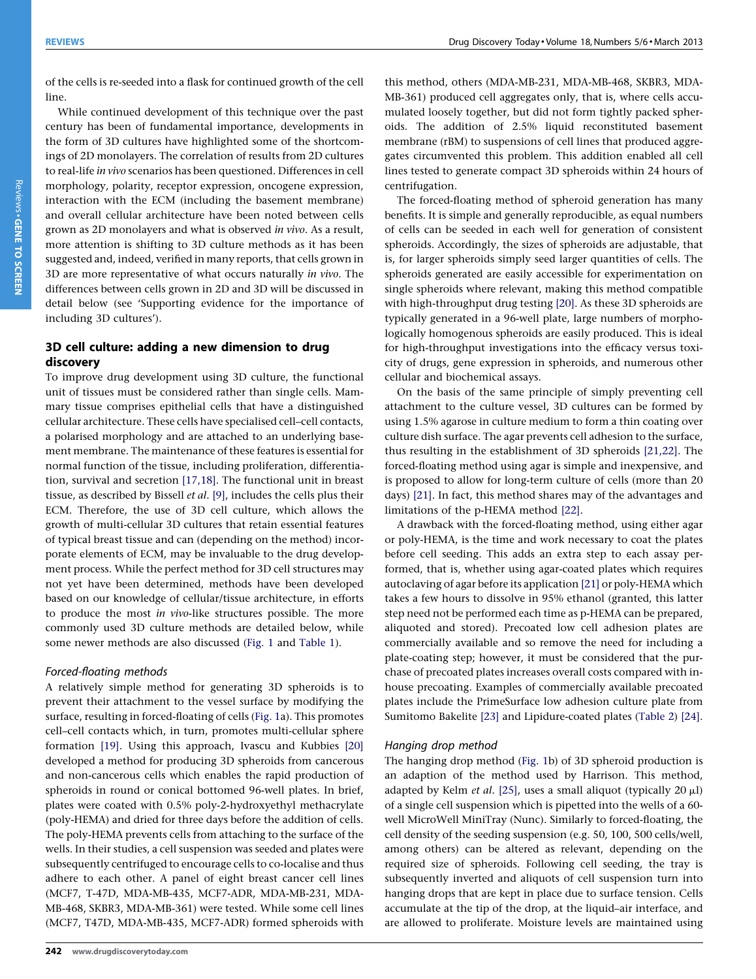of the cells is re-seeded into a flask for continued growth of the cell line.

While continued development of this technique over the past century has been of fundamental importance, developments in the form of 3D cultures have highlighted some of the shortcomings of 2D monolayers. The correlation of results from 2D cultures to real-life in vivo scenarios has been questioned. Differences in cell morphology, polarity, receptor expression, oncogene expression, interaction with the ECM (including the basement membrane) and overall cellular architecture have been noted between cells grown as 2D monolayers and what is observed in vivo. As a result, more attention is shifting to 3D culture methods as it has been suggested and, indeed, verified in many reports, that cells grown in 3D are more representative of what occurs naturally in vivo. The differences between cells grown in 2D and 3D will be discussed in detail below (see 'Supporting evidence for the importance of including 3D cultures').

## 3D cell culture: adding a new dimension to drug discovery

To improve drug development using 3D culture, the functional unit of tissues must be considered rather than single cells. Mammary tissue comprises epithelial cells that have a distinguished cellular architecture. These cells have specialised cell–cell contacts, a polarised morphology and are attached to an underlying basement membrane. The maintenance of these features is essential for normal function of the tissue, including proliferation, differentiation, survival and secretion [\[17,18\]](#page-8-0). The functional unit in breast tissue, as described by Bissell et al. [\[9\],](#page-8-0) includes the cells plus their ECM. Therefore, the use of 3D cell culture, which allows the growth of multi-cellular 3D cultures that retain essential features of typical breast tissue and can (depending on the method) incorporate elements of ECM, may be invaluable to the drug development process. While the perfect method for 3D cell structures may not yet have been determined, methods have been developed based on our knowledge of cellular/tissue architecture, in efforts to produce the most in vivo-like structures possible. The more commonly used 3D culture methods are detailed below, while some newer methods are also discussed [\(Fig.](#page-3-0) 1 and [Table](#page-1-0) 1).

#### Forced-floating methods

A relatively simple method for generating 3D spheroids is to prevent their attachment to the vessel surface by modifying the surface, resulting in forced-floating of cells ([Fig.](#page-3-0) 1a). This promotes cell–cell contacts which, in turn, promotes multi-cellular sphere formation [\[19\].](#page-8-0) Using this approach, Ivascu and Kubbies [\[20\]](#page-8-0) developed a method for producing 3D spheroids from cancerous and non-cancerous cells which enables the rapid production of spheroids in round or conical bottomed 96-well plates. In brief, plates were coated with 0.5% poly-2-hydroxyethyl methacrylate (poly-HEMA) and dried for three days before the addition of cells. The poly-HEMA prevents cells from attaching to the surface of the wells. In their studies, a cell suspension was seeded and plates were subsequently centrifuged to encourage cells to co-localise and thus adhere to each other. A panel of eight breast cancer cell lines (MCF7, T-47D, MDA-MB-435, MCF7-ADR, MDA-MB-231, MDA-MB-468, SKBR3, MDA-MB-361) were tested. While some cell lines (MCF7, T47D, MDA-MB-435, MCF7-ADR) formed spheroids with

this method, others (MDA-MB-231, MDA-MB-468, SKBR3, MDA-MB-361) produced cell aggregates only, that is, where cells accumulated loosely together, but did not form tightly packed spheroids. The addition of 2.5% liquid reconstituted basement membrane (rBM) to suspensions of cell lines that produced aggregates circumvented this problem. This addition enabled all cell lines tested to generate compact 3D spheroids within 24 hours of centrifugation.

The forced-floating method of spheroid generation has many benefits. It is simple and generally reproducible, as equal numbers of cells can be seeded in each well for generation of consistent spheroids. Accordingly, the sizes of spheroids are adjustable, that is, for larger spheroids simply seed larger quantities of cells. The spheroids generated are easily accessible for experimentation on single spheroids where relevant, making this method compatible with high-throughput drug testing [\[20\].](#page-8-0) As these 3D spheroids are typically generated in a 96-well plate, large numbers of morphologically homogenous spheroids are easily produced. This is ideal for high-throughput investigations into the efficacy versus toxicity of drugs, gene expression in spheroids, and numerous other cellular and biochemical assays.

On the basis of the same principle of simply preventing cell attachment to the culture vessel, 3D cultures can be formed by using 1.5% agarose in culture medium to form a thin coating over culture dish surface. The agar prevents cell adhesion to the surface, thus resulting in the establishment of 3D spheroids [\[21,22\]](#page-8-0). The forced-floating method using agar is simple and inexpensive, and is proposed to allow for long-term culture of cells (more than 20 days) [\[21\]](#page-8-0). In fact, this method shares may of the advantages and limitations of the p-HEMA method [\[22\]](#page-8-0).

A drawback with the forced-floating method, using either agar or poly-HEMA, is the time and work necessary to coat the plates before cell seeding. This adds an extra step to each assay performed, that is, whether using agar-coated plates which requires autoclaving of agar before its application [\[21\]](#page-8-0) or poly-HEMA which takes a few hours to dissolve in 95% ethanol (granted, this latter step need not be performed each time as p-HEMA can be prepared, aliquoted and stored). Precoated low cell adhesion plates are commercially available and so remove the need for including a plate-coating step; however, it must be considered that the purchase of precoated plates increases overall costs compared with inhouse precoating. Examples of commercially available precoated plates include the PrimeSurface low adhesion culture plate from Sumitomo Bakelite [\[23\]](#page-8-0) and Lipidure-coated plates ([Table](#page-4-0) 2) [\[24\]](#page-8-0).

#### Hanging drop method

The hanging drop method ([Fig.](#page-3-0) 1b) of 3D spheroid production is an adaption of the method used by Harrison. This method, adapted by Kelm et al. [\[25\],](#page-8-0) uses a small aliquot (typically 20  $\mu$ l) of a single cell suspension which is pipetted into the wells of a 60 well MicroWell MiniTray (Nunc). Similarly to forced-floating, the cell density of the seeding suspension (e.g. 50, 100, 500 cells/well, among others) can be altered as relevant, depending on the required size of spheroids. Following cell seeding, the tray is subsequently inverted and aliquots of cell suspension turn into hanging drops that are kept in place due to surface tension. Cells accumulate at the tip of the drop, at the liquid–air interface, and are allowed to proliferate. Moisture levels are maintained using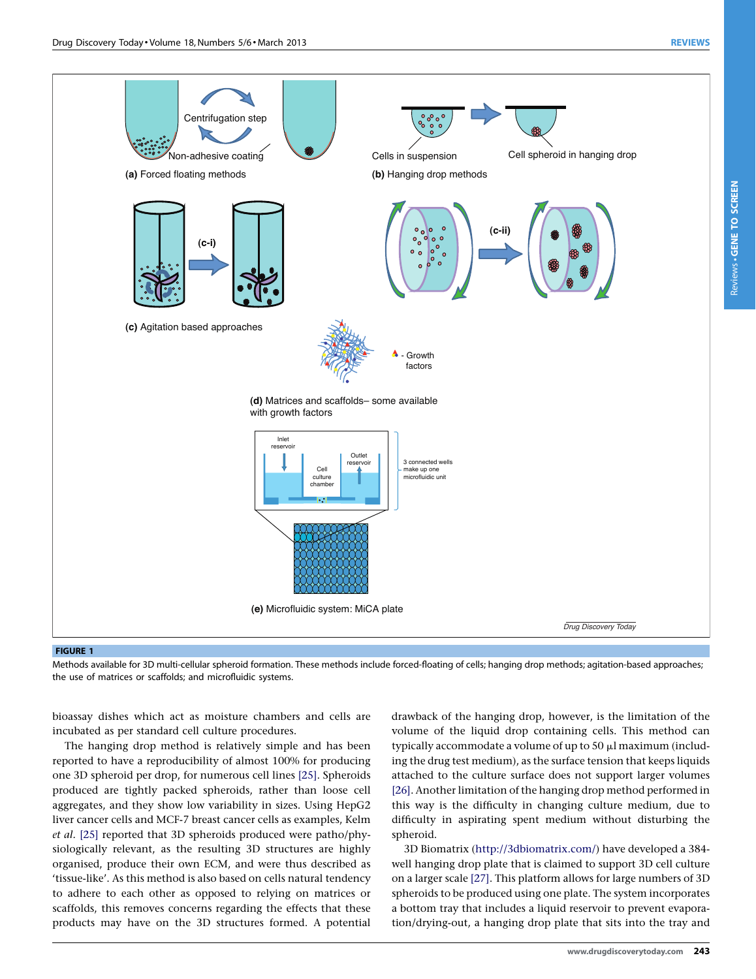Reviews -

Reviews . GENE TO SCREEN GENE TO SCREEN

<span id="page-3-0"></span>

#### FIGURE 1

Methods available for 3D multi-cellular spheroid formation. These methods include forced-floating of cells; hanging drop methods; agitation-based approaches; the use of matrices or scaffolds; and microfluidic systems.

bioassay dishes which act as moisture chambers and cells are incubated as per standard cell culture procedures.

The hanging drop method is relatively simple and has been reported to have a reproducibility of almost 100% for producing one 3D spheroid per drop, for numerous cell lines [\[25\].](#page-8-0) Spheroids produced are tightly packed spheroids, rather than loose cell aggregates, and they show low variability in sizes. Using HepG2 liver cancer cells and MCF-7 breast cancer cells as examples, Kelm et al. [\[25\]](#page-8-0) reported that 3D spheroids produced were patho/physiologically relevant, as the resulting 3D structures are highly organised, produce their own ECM, and were thus described as 'tissue-like'. As this method is also based on cells natural tendency to adhere to each other as opposed to relying on matrices or scaffolds, this removes concerns regarding the effects that these products may have on the 3D structures formed. A potential

drawback of the hanging drop, however, is the limitation of the volume of the liquid drop containing cells. This method can typically accommodate a volume of up to 50  $\mu$ l maximum (including the drug test medium), as the surface tension that keeps liquids attached to the culture surface does not support larger volumes [\[26\].](#page-8-0) Another limitation of the hanging drop method performed in this way is the difficulty in changing culture medium, due to difficulty in aspirating spent medium without disturbing the spheroid.

3D Biomatrix [\(http://3dbiomatrix.com/](http://3dbiomatrix.com/)) have developed a 384 well hanging drop plate that is claimed to support 3D cell culture on a larger scale [\[27\].](#page-8-0) This platform allows for large numbers of 3D spheroids to be produced using one plate. The system incorporates a bottom tray that includes a liquid reservoir to prevent evaporation/drying-out, a hanging drop plate that sits into the tray and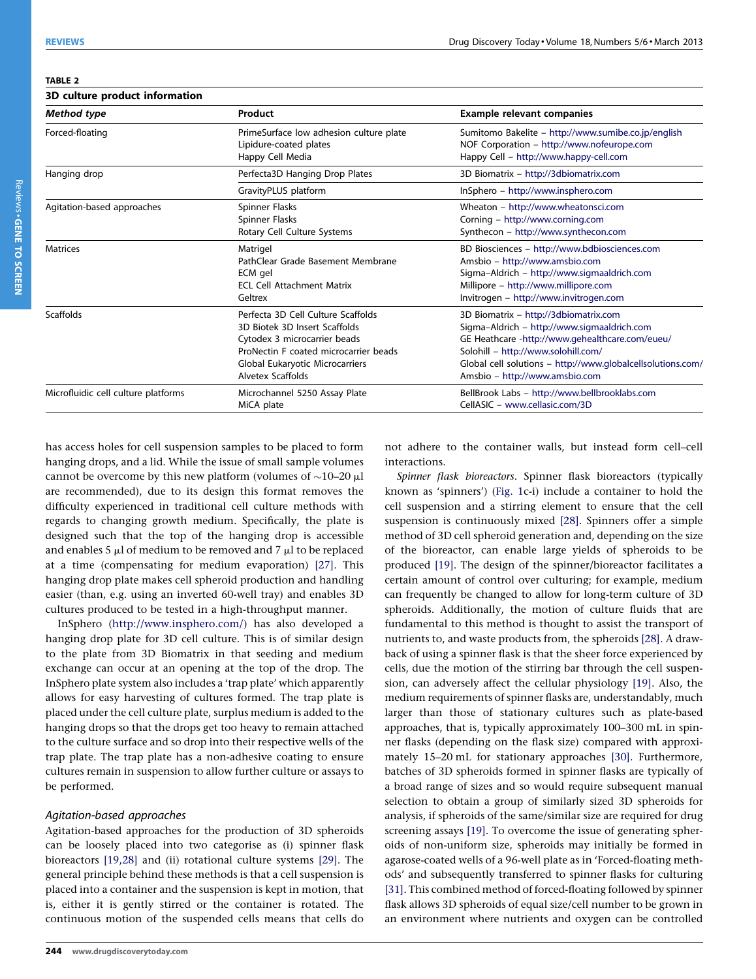### <span id="page-4-0"></span>TABLE 2 3D culture product information

| ij                          |
|-----------------------------|
|                             |
|                             |
|                             |
|                             |
|                             |
| í                           |
|                             |
|                             |
|                             |
|                             |
|                             |
|                             |
|                             |
| ֠                           |
|                             |
|                             |
|                             |
|                             |
|                             |
|                             |
|                             |
|                             |
| ŗ                           |
|                             |
| ı<br><b>Service Service</b> |
|                             |
|                             |
| j                           |
|                             |
|                             |
| I                           |
|                             |
|                             |
|                             |
|                             |
|                             |
| í                           |
|                             |
|                             |
|                             |
|                             |
|                             |
|                             |
|                             |
|                             |
|                             |
|                             |
|                             |
|                             |

| <b>Method type</b>                  | Product                                                                                                                                                                                                     | <b>Example relevant companies</b>                                                                                                                                                                                                                                               |
|-------------------------------------|-------------------------------------------------------------------------------------------------------------------------------------------------------------------------------------------------------------|---------------------------------------------------------------------------------------------------------------------------------------------------------------------------------------------------------------------------------------------------------------------------------|
| Forced-floating                     | PrimeSurface low adhesion culture plate<br>Lipidure-coated plates<br>Happy Cell Media                                                                                                                       | Sumitomo Bakelite - http://www.sumibe.co.jp/english<br>NOF Corporation - http://www.nofeurope.com<br>Happy Cell - http://www.happy-cell.com                                                                                                                                     |
| Hanging drop                        | Perfecta3D Hanging Drop Plates                                                                                                                                                                              | 3D Biomatrix - http://3dbiomatrix.com                                                                                                                                                                                                                                           |
|                                     | GravityPLUS platform                                                                                                                                                                                        | InSphero - http://www.insphero.com                                                                                                                                                                                                                                              |
| Agitation-based approaches          | Spinner Flasks<br>Spinner Flasks<br>Rotary Cell Culture Systems                                                                                                                                             | Wheaton - http://www.wheatonsci.com<br>Corning - http://www.corning.com<br>Synthecon - http://www.synthecon.com                                                                                                                                                                 |
| <b>Matrices</b>                     | Matrigel<br>PathClear Grade Basement Membrane<br>ECM gel<br><b>ECL Cell Attachment Matrix</b><br>Geltrex                                                                                                    | BD Biosciences - http://www.bdbiosciences.com<br>Amsbio - http://www.amsbio.com<br>Sigma-Aldrich - http://www.sigmaaldrich.com<br>Millipore - http://www.millipore.com<br>Invitrogen - http://www.invitrogen.com                                                                |
| <b>Scaffolds</b>                    | Perfecta 3D Cell Culture Scaffolds<br>3D Biotek 3D Insert Scaffolds<br>Cytodex 3 microcarrier beads<br>ProNectin F coated microcarrier beads<br>Global Eukaryotic Microcarriers<br><b>Alvetex Scaffolds</b> | 3D Biomatrix - http://3dbiomatrix.com<br>Sigma-Aldrich - http://www.sigmaaldrich.com<br>GE Heathcare -http://www.gehealthcare.com/eueu/<br>Solohill - http://www.solohill.com/<br>Global cell solutions - http://www.globalcellsolutions.com/<br>Amsbio - http://www.amsbio.com |
| Microfluidic cell culture platforms | Microchannel 5250 Assay Plate<br>MiCA plate                                                                                                                                                                 | BellBrook Labs - http://www.bellbrooklabs.com<br>CellASIC - www.cellasic.com/3D                                                                                                                                                                                                 |

has access holes for cell suspension samples to be placed to form hanging drops, and a lid. While the issue of small sample volumes cannot be overcome by this new platform (volumes of  $\sim$ 10–20  $\mu$ l are recommended), due to its design this format removes the difficulty experienced in traditional cell culture methods with regards to changing growth medium. Specifically, the plate is designed such that the top of the hanging drop is accessible and enables 5  $\mu$ l of medium to be removed and 7  $\mu$ l to be replaced at a time (compensating for medium evaporation) [\[27\].](#page-8-0) This hanging drop plate makes cell spheroid production and handling easier (than, e.g. using an inverted 60-well tray) and enables 3D cultures produced to be tested in a high-throughput manner.

InSphero (<http://www.insphero.com/>) has also developed a hanging drop plate for 3D cell culture. This is of similar design to the plate from 3D Biomatrix in that seeding and medium exchange can occur at an opening at the top of the drop. The InSphero plate system also includes a 'trap plate' which apparently allows for easy harvesting of cultures formed. The trap plate is placed under the cell culture plate, surplus medium is added to the hanging drops so that the drops get too heavy to remain attached to the culture surface and so drop into their respective wells of the trap plate. The trap plate has a non-adhesive coating to ensure cultures remain in suspension to allow further culture or assays to be performed.

#### Agitation-based approaches

Agitation-based approaches for the production of 3D spheroids can be loosely placed into two categorise as (i) spinner flask bioreactors [\[19,28\]](#page-8-0) and (ii) rotational culture systems [\[29\].](#page-8-0) The general principle behind these methods is that a cell suspension is placed into a container and the suspension is kept in motion, that is, either it is gently stirred or the container is rotated. The continuous motion of the suspended cells means that cells do

not adhere to the container walls, but instead form cell–cell interactions.

Spinner flask bioreactors. Spinner flask bioreactors (typically known as 'spinners') ([Fig.](#page-3-0) 1c-i) include a container to hold the cell suspension and a stirring element to ensure that the cell suspension is continuously mixed [\[28\]](#page-8-0). Spinners offer a simple method of 3D cell spheroid generation and, depending on the size of the bioreactor, can enable large yields of spheroids to be produced [\[19\].](#page-8-0) The design of the spinner/bioreactor facilitates a certain amount of control over culturing; for example, medium can frequently be changed to allow for long-term culture of 3D spheroids. Additionally, the motion of culture fluids that are fundamental to this method is thought to assist the transport of nutrients to, and waste products from, the spheroids [\[28\]](#page-8-0). A drawback of using a spinner flask is that the sheer force experienced by cells, due the motion of the stirring bar through the cell suspension, can adversely affect the cellular physiology [\[19\]](#page-8-0). Also, the medium requirements of spinner flasks are, understandably, much larger than those of stationary cultures such as plate-based approaches, that is, typically approximately 100–300 mL in spinner flasks (depending on the flask size) compared with approximately 15–20 mL for stationary approaches [\[30\].](#page-8-0) Furthermore, batches of 3D spheroids formed in spinner flasks are typically of a broad range of sizes and so would require subsequent manual selection to obtain a group of similarly sized 3D spheroids for analysis, if spheroids of the same/similar size are required for drug screening assays [\[19\].](#page-8-0) To overcome the issue of generating spheroids of non-uniform size, spheroids may initially be formed in agarose-coated wells of a 96-well plate as in 'Forced-floating methods' and subsequently transferred to spinner flasks for culturing [\[31\]](#page-8-0). This combined method of forced-floating followed by spinner flask allows 3D spheroids of equal size/cell number to be grown in an environment where nutrients and oxygen can be controlled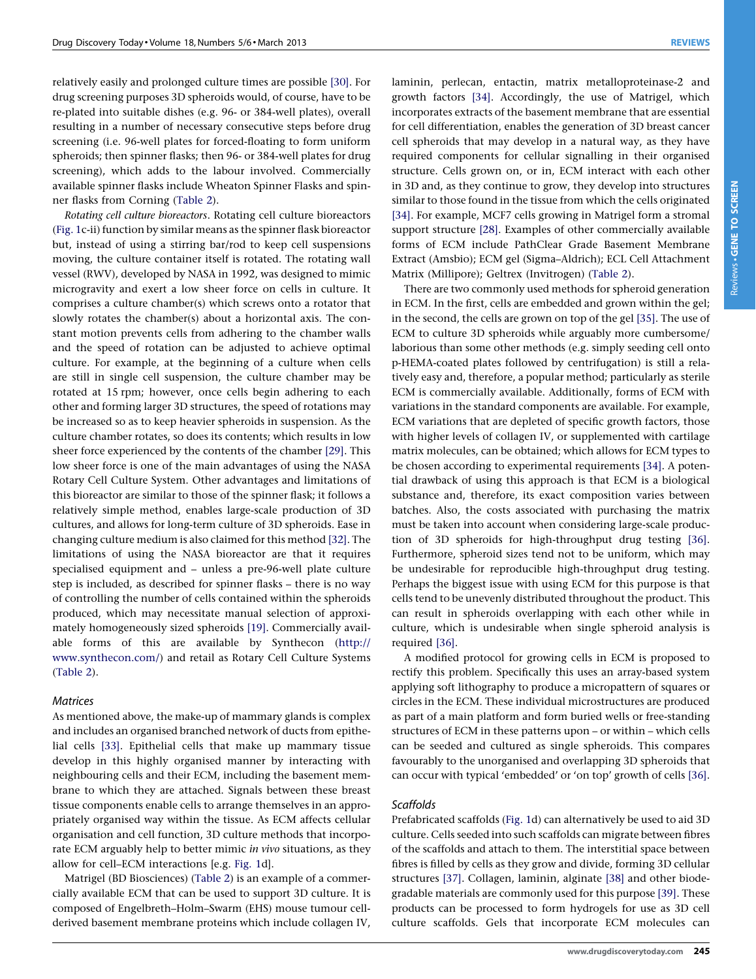relatively easily and prolonged culture times are possible [\[30\]](#page-8-0). For drug screening purposes 3D spheroids would, of course, have to be re-plated into suitable dishes (e.g. 96- or 384-well plates), overall resulting in a number of necessary consecutive steps before drug screening (i.e. 96-well plates for forced-floating to form uniform spheroids; then spinner flasks; then 96- or 384-well plates for drug screening), which adds to the labour involved. Commercially available spinner flasks include Wheaton Spinner Flasks and spinner flasks from Corning [\(Table](#page-4-0) 2).

Rotating cell culture bioreactors. Rotating cell culture bioreactors ([Fig.](#page-3-0) 1c-ii) function by similar means as the spinner flask bioreactor but, instead of using a stirring bar/rod to keep cell suspensions moving, the culture container itself is rotated. The rotating wall vessel (RWV), developed by NASA in 1992, was designed to mimic microgravity and exert a low sheer force on cells in culture. It comprises a culture chamber(s) which screws onto a rotator that slowly rotates the chamber(s) about a horizontal axis. The constant motion prevents cells from adhering to the chamber walls and the speed of rotation can be adjusted to achieve optimal culture. For example, at the beginning of a culture when cells are still in single cell suspension, the culture chamber may be rotated at 15 rpm; however, once cells begin adhering to each other and forming larger 3D structures, the speed of rotations may be increased so as to keep heavier spheroids in suspension. As the culture chamber rotates, so does its contents; which results in low sheer force experienced by the contents of the chamber [\[29\].](#page-8-0) This low sheer force is one of the main advantages of using the NASA Rotary Cell Culture System. Other advantages and limitations of this bioreactor are similar to those of the spinner flask; it follows a relatively simple method, enables large-scale production of 3D cultures, and allows for long-term culture of 3D spheroids. Ease in changing culture medium is also claimed for this method [\[32\]](#page-8-0). The limitations of using the NASA bioreactor are that it requires specialised equipment and – unless a pre-96-well plate culture step is included, as described for spinner flasks – there is no way of controlling the number of cells contained within the spheroids produced, which may necessitate manual selection of approximately homogeneously sized spheroids [\[19\].](#page-8-0) Commercially available forms of this are available by Synthecon [\(http://](http://www.synthecon.com/) [www.synthecon.com/](http://www.synthecon.com/)) and retail as Rotary Cell Culture Systems ([Table](#page-4-0) 2).

#### **Matrices**

As mentioned above, the make-up of mammary glands is complex and includes an organised branched network of ducts from epithelial cells [\[33\]](#page-8-0). Epithelial cells that make up mammary tissue develop in this highly organised manner by interacting with neighbouring cells and their ECM, including the basement membrane to which they are attached. Signals between these breast tissue components enable cells to arrange themselves in an appropriately organised way within the tissue. As ECM affects cellular organisation and cell function, 3D culture methods that incorporate ECM arguably help to better mimic in vivo situations, as they allow for cell–ECM interactions [e.g. [Fig.](#page-3-0) 1d].

Matrigel (BD Biosciences) ([Table](#page-4-0) 2) is an example of a commercially available ECM that can be used to support 3D culture. It is composed of Engelbreth–Holm–Swarm (EHS) mouse tumour cellderived basement membrane proteins which include collagen IV, laminin, perlecan, entactin, matrix metalloproteinase-2 and growth factors [\[34\].](#page-8-0) Accordingly, the use of Matrigel, which incorporates extracts of the basement membrane that are essential for cell differentiation, enables the generation of 3D breast cancer cell spheroids that may develop in a natural way, as they have required components for cellular signalling in their organised structure. Cells grown on, or in, ECM interact with each other in 3D and, as they continue to grow, they develop into structures similar to those found in the tissue from which the cells originated [\[34\].](#page-8-0) For example, MCF7 cells growing in Matrigel form a stromal support structure [\[28\].](#page-8-0) Examples of other commercially available forms of ECM include PathClear Grade Basement Membrane Extract (Amsbio); ECM gel (Sigma–Aldrich); ECL Cell Attachment Matrix (Millipore); Geltrex (Invitrogen) ([Table](#page-4-0) 2).

There are two commonly used methods for spheroid generation in ECM. In the first, cells are embedded and grown within the gel; in the second, the cells are grown on top of the gel [\[35\]](#page-8-0). The use of ECM to culture 3D spheroids while arguably more cumbersome/ laborious than some other methods (e.g. simply seeding cell onto p-HEMA-coated plates followed by centrifugation) is still a relatively easy and, therefore, a popular method; particularly as sterile ECM is commercially available. Additionally, forms of ECM with variations in the standard components are available. For example, ECM variations that are depleted of specific growth factors, those with higher levels of collagen IV, or supplemented with cartilage matrix molecules, can be obtained; which allows for ECM types to be chosen according to experimental requirements [\[34\]](#page-8-0). A potential drawback of using this approach is that ECM is a biological substance and, therefore, its exact composition varies between batches. Also, the costs associated with purchasing the matrix must be taken into account when considering large-scale production of 3D spheroids for high-throughput drug testing [\[36\].](#page-8-0) Furthermore, spheroid sizes tend not to be uniform, which may be undesirable for reproducible high-throughput drug testing. Perhaps the biggest issue with using ECM for this purpose is that cells tend to be unevenly distributed throughout the product. This can result in spheroids overlapping with each other while in culture, which is undesirable when single spheroid analysis is required [\[36\].](#page-8-0)

A modified protocol for growing cells in ECM is proposed to rectify this problem. Specifically this uses an array-based system applying soft lithography to produce a micropattern of squares or circles in the ECM. These individual microstructures are produced as part of a main platform and form buried wells or free-standing structures of ECM in these patterns upon – or within – which cells can be seeded and cultured as single spheroids. This compares favourably to the unorganised and overlapping 3D spheroids that can occur with typical 'embedded' or 'on top' growth of cells [\[36\].](#page-8-0)

#### **Scaffolds**

Prefabricated scaffolds ([Fig.](#page-3-0) 1d) can alternatively be used to aid 3D culture. Cells seeded into such scaffolds can migrate between fibres of the scaffolds and attach to them. The interstitial space between fibres is filled by cells as they grow and divide, forming 3D cellular structures [\[37\]](#page-8-0). Collagen, laminin, alginate [\[38\]](#page-8-0) and other biodegradable materials are commonly used for this purpose [\[39\]](#page-8-0). These products can be processed to form hydrogels for use as 3D cell culture scaffolds. Gels that incorporate ECM molecules can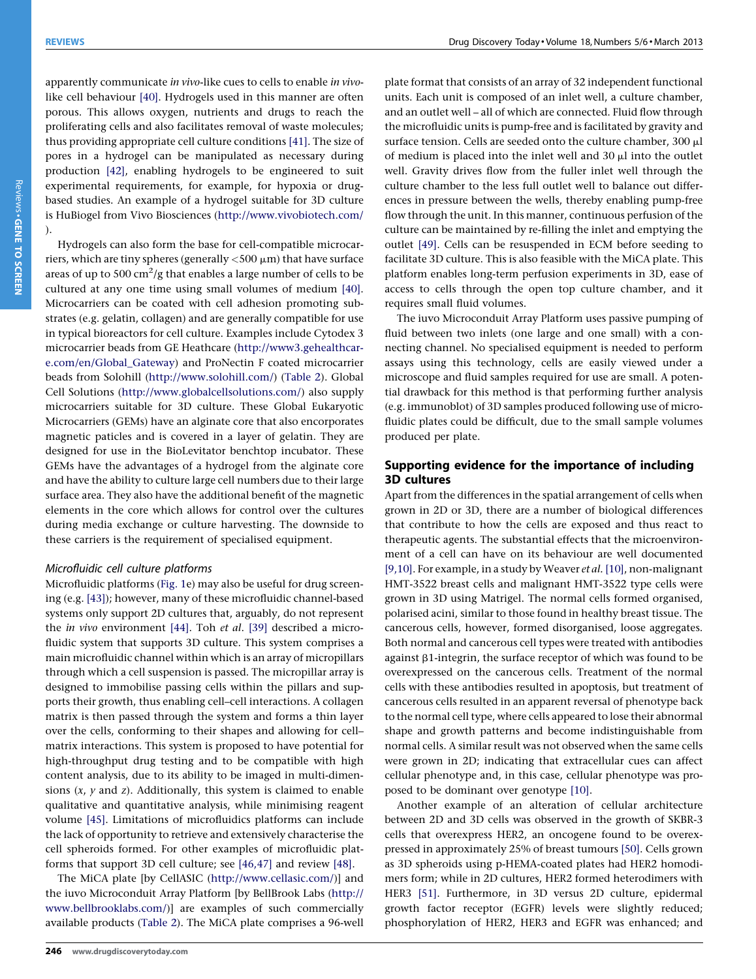apparently communicate in vivo-like cues to cells to enable in vivolike cell behaviour [\[40\]](#page-8-0). Hydrogels used in this manner are often porous. This allows oxygen, nutrients and drugs to reach the proliferating cells and also facilitates removal of waste molecules; thus providing appropriate cell culture conditions [\[41\]](#page-8-0). The size of pores in a hydrogel can be manipulated as necessary during production [\[42\]](#page-8-0), enabling hydrogels to be engineered to suit experimental requirements, for example, for hypoxia or drugbased studies. An example of a hydrogel suitable for 3D culture is HuBiogel from Vivo Biosciences [\(http://www.vivobiotech.com/](http://www.vivobiotech.com/) ).

Hydrogels can also form the base for cell-compatible microcarriers, which are tiny spheres (generally  $<$  500  $\mu$ m) that have surface areas of up to 500 cm $^2$ /g that enables a large number of cells to be cultured at any one time using small volumes of medium [\[40\]](#page-8-0). Microcarriers can be coated with cell adhesion promoting substrates (e.g. gelatin, collagen) and are generally compatible for use in typical bioreactors for cell culture. Examples include Cytodex 3 microcarrier beads from GE Heathcare [\(http://www3.gehealthcar](http://www3.gehealthcare.com/en/Global_Gateway)[e.com/en/Global\\_Gateway\)](http://www3.gehealthcare.com/en/Global_Gateway) and ProNectin F coated microcarrier beads from Solohill ([http://www.solohill.com/\)](http://www.solohill.com/) ([Table](#page-4-0) 2). Global Cell Solutions (<http://www.globalcellsolutions.com/>) also supply microcarriers suitable for 3D culture. These Global Eukaryotic Microcarriers (GEMs) have an alginate core that also encorporates magnetic paticles and is covered in a layer of gelatin. They are designed for use in the BioLevitator benchtop incubator. These GEMs have the advantages of a hydrogel from the alginate core and have the ability to culture large cell numbers due to their large surface area. They also have the additional benefit of the magnetic elements in the core which allows for control over the cultures during media exchange or culture harvesting. The downside to these carriers is the requirement of specialised equipment.

#### Microfluidic cell culture platforms

Microfluidic platforms [\(Fig.](#page-3-0) 1e) may also be useful for drug screening (e.g. [\[43\]\)](#page-8-0); however, many of these microfluidic channel-based systems only support 2D cultures that, arguably, do not represent the in vivo environment [\[44\]](#page-8-0). Toh et al. [\[39\]](#page-8-0) described a microfluidic system that supports 3D culture. This system comprises a main microfluidic channel within which is an array of micropillars through which a cell suspension is passed. The micropillar array is designed to immobilise passing cells within the pillars and supports their growth, thus enabling cell–cell interactions. A collagen matrix is then passed through the system and forms a thin layer over the cells, conforming to their shapes and allowing for cell– matrix interactions. This system is proposed to have potential for high-throughput drug testing and to be compatible with high content analysis, due to its ability to be imaged in multi-dimensions  $(x, y, z)$ . Additionally, this system is claimed to enable qualitative and quantitative analysis, while minimising reagent volume [\[45\]](#page-8-0). Limitations of microfluidics platforms can include the lack of opportunity to retrieve and extensively characterise the cell spheroids formed. For other examples of microfluidic platforms that support 3D cell culture; see [\[46,47\]](#page-8-0) and review [\[48\]](#page-9-0).

The MiCA plate [by CellASIC ([http://www.cellasic.com/\)](http://www.cellasic.com/)] and the iuvo Microconduit Array Platform [by BellBrook Labs ([http://](http://www.bellbrooklabs.com/) [www.bellbrooklabs.com/](http://www.bellbrooklabs.com/))] are examples of such commercially available products ([Table](#page-4-0) 2). The MiCA plate comprises a 96-well

plate format that consists of an array of 32 independent functional units. Each unit is composed of an inlet well, a culture chamber, and an outlet well – all of which are connected. Fluid flow through the microfluidic units is pump-free and is facilitated by gravity and surface tension. Cells are seeded onto the culture chamber,  $300 \mu$ l of medium is placed into the inlet well and  $30 \mu l$  into the outlet well. Gravity drives flow from the fuller inlet well through the culture chamber to the less full outlet well to balance out differences in pressure between the wells, thereby enabling pump-free flow through the unit. In this manner, continuous perfusion of the culture can be maintained by re-filling the inlet and emptying the outlet [\[49\]](#page-9-0). Cells can be resuspended in ECM before seeding to facilitate 3D culture. This is also feasible with the MiCA plate. This platform enables long-term perfusion experiments in 3D, ease of access to cells through the open top culture chamber, and it requires small fluid volumes.

The iuvo Microconduit Array Platform uses passive pumping of fluid between two inlets (one large and one small) with a connecting channel. No specialised equipment is needed to perform assays using this technology, cells are easily viewed under a microscope and fluid samples required for use are small. A potential drawback for this method is that performing further analysis (e.g. immunoblot) of 3D samples produced following use of microfluidic plates could be difficult, due to the small sample volumes produced per plate.

## Supporting evidence for the importance of including 3D cultures

Apart from the differences in the spatial arrangement of cells when grown in 2D or 3D, there are a number of biological differences that contribute to how the cells are exposed and thus react to therapeutic agents. The substantial effects that the microenvironment of a cell can have on its behaviour are well documented [\[9,10\]](#page-8-0). For example, in a study by Weaver et al. [\[10\],](#page-8-0) non-malignant HMT-3522 breast cells and malignant HMT-3522 type cells were grown in 3D using Matrigel. The normal cells formed organised, polarised acini, similar to those found in healthy breast tissue. The cancerous cells, however, formed disorganised, loose aggregates. Both normal and cancerous cell types were treated with antibodies against  $\beta$ 1-integrin, the surface receptor of which was found to be overexpressed on the cancerous cells. Treatment of the normal cells with these antibodies resulted in apoptosis, but treatment of cancerous cells resulted in an apparent reversal of phenotype back to the normal cell type, where cells appeared to lose their abnormal shape and growth patterns and become indistinguishable from normal cells. A similar result was not observed when the same cells were grown in 2D; indicating that extracellular cues can affect cellular phenotype and, in this case, cellular phenotype was proposed to be dominant over genotype [\[10\].](#page-8-0)

Another example of an alteration of cellular architecture between 2D and 3D cells was observed in the growth of SKBR-3 cells that overexpress HER2, an oncogene found to be overexpressed in approximately 25% of breast tumours [\[50\].](#page-9-0) Cells grown as 3D spheroids using p-HEMA-coated plates had HER2 homodimers form; while in 2D cultures, HER2 formed heterodimers with HER3 [\[51\]](#page-9-0). Furthermore, in 3D versus 2D culture, epidermal growth factor receptor (EGFR) levels were slightly reduced; phosphorylation of HER2, HER3 and EGFR was enhanced; and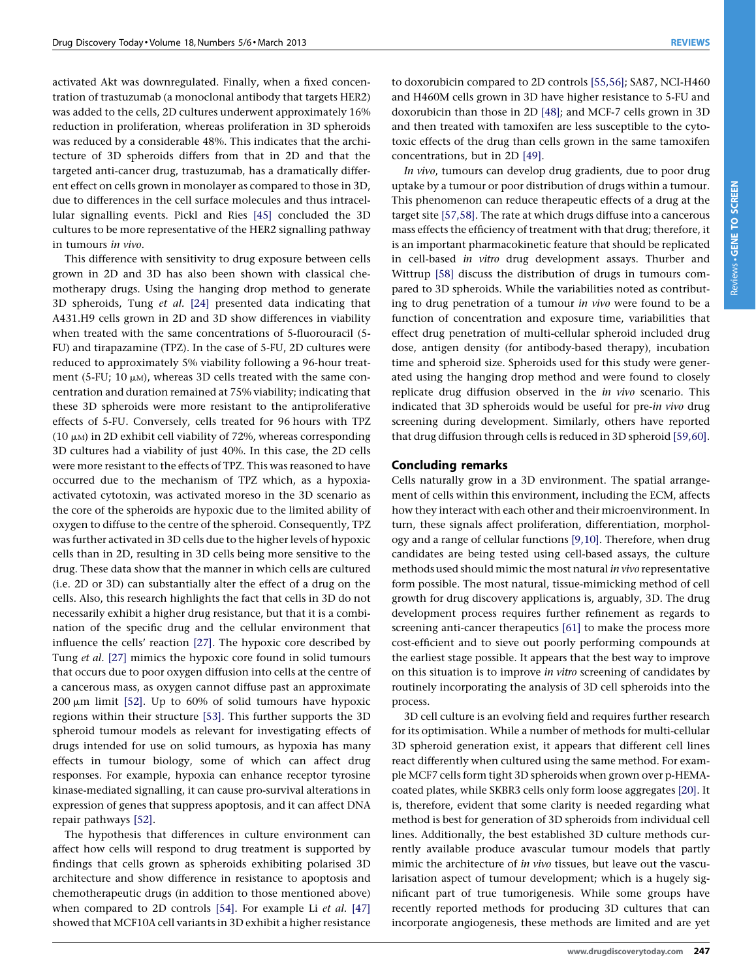activated Akt was downregulated. Finally, when a fixed concentration of trastuzumab (a monoclonal antibody that targets HER2) was added to the cells, 2D cultures underwent approximately 16% reduction in proliferation, whereas proliferation in 3D spheroids was reduced by a considerable 48%. This indicates that the architecture of 3D spheroids differs from that in 2D and that the targeted anti-cancer drug, trastuzumab, has a dramatically different effect on cells grown in monolayer as compared to those in 3D, due to differences in the cell surface molecules and thus intracellular signalling events. Pickl and Ries [\[45\]](#page-8-0) concluded the 3D cultures to be more representative of the HER2 signalling pathway in tumours in vivo.

This difference with sensitivity to drug exposure between cells grown in 2D and 3D has also been shown with classical chemotherapy drugs. Using the hanging drop method to generate 3D spheroids, Tung et al. [\[24\]](#page-8-0) presented data indicating that A431.H9 cells grown in 2D and 3D show differences in viability when treated with the same concentrations of 5-fluorouracil (5- FU) and tirapazamine (TPZ). In the case of 5-FU, 2D cultures were reduced to approximately 5% viability following a 96-hour treatment (5-FU; 10  $\mu$ M), whereas 3D cells treated with the same concentration and duration remained at 75% viability; indicating that these 3D spheroids were more resistant to the antiproliferative effects of 5-FU. Conversely, cells treated for 96 hours with TPZ (10  $\mu$ M) in 2D exhibit cell viability of 72%, whereas corresponding 3D cultures had a viability of just 40%. In this case, the 2D cells were more resistant to the effects of TPZ. This was reasoned to have occurred due to the mechanism of TPZ which, as a hypoxiaactivated cytotoxin, was activated moreso in the 3D scenario as the core of the spheroids are hypoxic due to the limited ability of oxygen to diffuse to the centre of the spheroid. Consequently, TPZ was further activated in 3D cells due to the higher levels of hypoxic cells than in 2D, resulting in 3D cells being more sensitive to the drug. These data show that the manner in which cells are cultured (i.e. 2D or 3D) can substantially alter the effect of a drug on the cells. Also, this research highlights the fact that cells in 3D do not necessarily exhibit a higher drug resistance, but that it is a combination of the specific drug and the cellular environment that influence the cells' reaction [\[27\]](#page-8-0). The hypoxic core described by Tung et al. [\[27\]](#page-8-0) mimics the hypoxic core found in solid tumours that occurs due to poor oxygen diffusion into cells at the centre of a cancerous mass, as oxygen cannot diffuse past an approximate  $200 \mu m$  limit [\[52\].](#page-9-0) Up to 60% of solid tumours have hypoxic regions within their structure [\[53\].](#page-9-0) This further supports the 3D spheroid tumour models as relevant for investigating effects of drugs intended for use on solid tumours, as hypoxia has many effects in tumour biology, some of which can affect drug responses. For example, hypoxia can enhance receptor tyrosine kinase-mediated signalling, it can cause pro-survival alterations in expression of genes that suppress apoptosis, and it can affect DNA repair pathways [\[52\].](#page-9-0)

The hypothesis that differences in culture environment can affect how cells will respond to drug treatment is supported by findings that cells grown as spheroids exhibiting polarised 3D architecture and show difference in resistance to apoptosis and chemotherapeutic drugs (in addition to those mentioned above) when compared to 2D controls [\[54\]](#page-9-0). For example Li et al. [\[47\]](#page-9-0) showed that MCF10A cell variants in 3D exhibit a higher resistance

to doxorubicin compared to 2D controls [\[55,56\]](#page-9-0); SA87, NCI-H460 and H460M cells grown in 3D have higher resistance to 5-FU and doxorubicin than those in 2D [\[48\];](#page-9-0) and MCF-7 cells grown in 3D and then treated with tamoxifen are less susceptible to the cytotoxic effects of the drug than cells grown in the same tamoxifen

concentrations, but in 2D [\[49\].](#page-9-0) In vivo, tumours can develop drug gradients, due to poor drug uptake by a tumour or poor distribution of drugs within a tumour. This phenomenon can reduce therapeutic effects of a drug at the target site [\[57,58\]](#page-9-0). The rate at which drugs diffuse into a cancerous mass effects the efficiency of treatment with that drug; therefore, it is an important pharmacokinetic feature that should be replicated in cell-based in vitro drug development assays. Thurber and Wittrup [\[58\]](#page-9-0) discuss the distribution of drugs in tumours compared to 3D spheroids. While the variabilities noted as contributing to drug penetration of a tumour in vivo were found to be a function of concentration and exposure time, variabilities that effect drug penetration of multi-cellular spheroid included drug dose, antigen density (for antibody-based therapy), incubation time and spheroid size. Spheroids used for this study were generated using the hanging drop method and were found to closely replicate drug diffusion observed in the in vivo scenario. This indicated that 3D spheroids would be useful for pre-in vivo drug screening during development. Similarly, others have reported that drug diffusion through cells is reduced in 3D spheroid [\[59,60\].](#page-9-0)

#### Concluding remarks

Cells naturally grow in a 3D environment. The spatial arrangement of cells within this environment, including the ECM, affects how they interact with each other and their microenvironment. In turn, these signals affect proliferation, differentiation, morphology and a range of cellular functions [\[9,10\].](#page-8-0) Therefore, when drug candidates are being tested using cell-based assays, the culture methods used should mimic the most natural in vivo representative form possible. The most natural, tissue-mimicking method of cell growth for drug discovery applications is, arguably, 3D. The drug development process requires further refinement as regards to screening anti-cancer therapeutics [\[61\]](#page-9-0) to make the process more cost-efficient and to sieve out poorly performing compounds at the earliest stage possible. It appears that the best way to improve on this situation is to improve in vitro screening of candidates by routinely incorporating the analysis of 3D cell spheroids into the process.

3D cell culture is an evolving field and requires further research for its optimisation. While a number of methods for multi-cellular 3D spheroid generation exist, it appears that different cell lines react differently when cultured using the same method. For example MCF7 cells form tight 3D spheroids when grown over p-HEMAcoated plates, while SKBR3 cells only form loose aggregates [\[20\].](#page-8-0) It is, therefore, evident that some clarity is needed regarding what method is best for generation of 3D spheroids from individual cell lines. Additionally, the best established 3D culture methods currently available produce avascular tumour models that partly mimic the architecture of in vivo tissues, but leave out the vascularisation aspect of tumour development; which is a hugely significant part of true tumorigenesis. While some groups have recently reported methods for producing 3D cultures that can incorporate angiogenesis, these methods are limited and are yet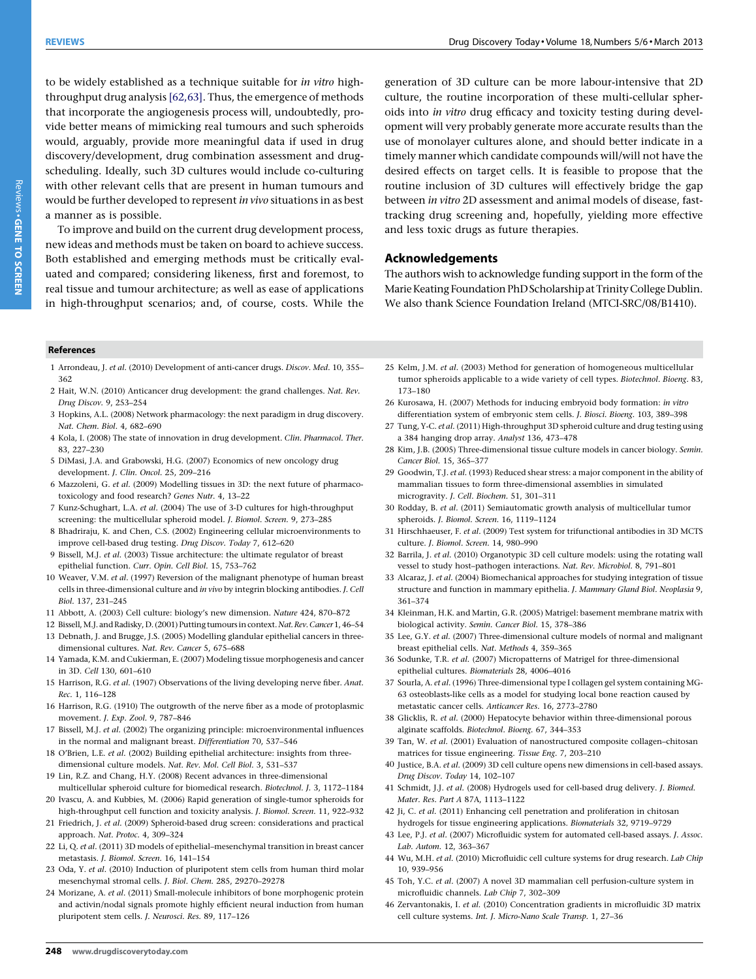<span id="page-8-0"></span>to be widely established as a technique suitable for in vitro highthroughput drug analysis [\[62,63\]](#page-9-0). Thus, the emergence of methods that incorporate the angiogenesis process will, undoubtedly, provide better means of mimicking real tumours and such spheroids would, arguably, provide more meaningful data if used in drug discovery/development, drug combination assessment and drugscheduling. Ideally, such 3D cultures would include co-culturing with other relevant cells that are present in human tumours and would be further developed to represent in vivo situations in as best a manner as is possible.

To improve and build on the current drug development process, new ideas and methods must be taken on board to achieve success. Both established and emerging methods must be critically evaluated and compared; considering likeness, first and foremost, to real tissue and tumour architecture; as well as ease of applications in high-throughput scenarios; and, of course, costs. While the generation of 3D culture can be more labour-intensive that 2D culture, the routine incorporation of these multi-cellular spheroids into in vitro drug efficacy and toxicity testing during development will very probably generate more accurate results than the use of monolayer cultures alone, and should better indicate in a timely manner which candidate compounds will/will not have the desired effects on target cells. It is feasible to propose that the routine inclusion of 3D cultures will effectively bridge the gap between in vitro 2D assessment and animal models of disease, fasttracking drug screening and, hopefully, yielding more effective and less toxic drugs as future therapies.

#### Acknowledgements

The authors wish to acknowledge funding support in the form of the Marie Keating Foundation PhD Scholarship at Trinity College Dublin. We also thank Science Foundation Ireland (MTCI-SRC/08/B1410).

#### References

- 1 Arrondeau, J. et al. (2010) Development of anti-cancer drugs. Discov. Med. 10, 355– 362
- 2 Hait, W.N. (2010) Anticancer drug development: the grand challenges. Nat. Rev. Drug Discov. 9, 253–254
- 3 Hopkins, A.L. (2008) Network pharmacology: the next paradigm in drug discovery. Nat. Chem. Biol. 4, 682–690
- 4 Kola, I. (2008) The state of innovation in drug development. Clin. Pharmacol. Ther. 83, 227–230
- 5 DiMasi, J.A. and Grabowski, H.G. (2007) Economics of new oncology drug development. J. Clin. Oncol. 25, 209–216
- 6 Mazzoleni, G. et al. (2009) Modelling tissues in 3D: the next future of pharmacotoxicology and food research? Genes Nutr. 4, 13–22
- 7 Kunz-Schughart, L.A. et al. (2004) The use of 3-D cultures for high-throughput screening: the multicellular spheroid model. J. Biomol. Screen. 9, 273–285
- 8 Bhadriraju, K. and Chen, C.S. (2002) Engineering cellular microenvironments to improve cell-based drug testing. Drug Discov. Today 7, 612–620
- 9 Bissell, M.J. et al. (2003) Tissue architecture: the ultimate regulator of breast epithelial function. Curr. Opin. Cell Biol. 15, 753–762
- 10 Weaver, V.M. et al. (1997) Reversion of the malignant phenotype of human breast cells in three-dimensional culture and in vivo by integrin blocking antibodies. J. Cell Biol. 137, 231–245
- 11 Abbott, A. (2003) Cell culture: biology's new dimension. Nature 424, 870–872
- 12 Bissell, M.J. and Radisky, D. (2001) Putting tumours in context. Nat. Rev. Cancer 1, 46-54 13 Debnath, J. and Brugge, J.S. (2005) Modelling glandular epithelial cancers in threedimensional cultures. Nat. Rev. Cancer 5, 675–688
- 14 Yamada, K.M. and Cukierman, E. (2007) Modeling tissue morphogenesis and cancer in 3D. Cell 130, 601–610
- 15 Harrison, R.G. et al. (1907) Observations of the living developing nerve fiber. Anat. Rec. 1, 116–128
- 16 Harrison, R.G. (1910) The outgrowth of the nerve fiber as a mode of protoplasmic movement. J. Exp. Zool. 9, 787–846
- 17 Bissell, M.J. et al. (2002) The organizing principle: microenvironmental influences in the normal and malignant breast. Differentiation 70, 537–546
- 18 O'Brien, L.E. et al. (2002) Building epithelial architecture: insights from threedimensional culture models. Nat. Rev. Mol. Cell Biol. 3, 531–537
- 19 Lin, R.Z. and Chang, H.Y. (2008) Recent advances in three-dimensional multicellular spheroid culture for biomedical research. Biotechnol. J. 3, 1172–1184
- 20 Ivascu, A. and Kubbies, M. (2006) Rapid generation of single-tumor spheroids for high-throughput cell function and toxicity analysis. J. Biomol. Screen. 11, 922–932
- 21 Friedrich, J. et al. (2009) Spheroid-based drug screen: considerations and practical approach. Nat. Protoc. 4, 309–324
- 22 Li, Q. et al. (2011) 3D models of epithelial–mesenchymal transition in breast cancer metastasis. J. Biomol. Screen. 16, 141–154
- 23 Oda, Y. et al. (2010) Induction of pluripotent stem cells from human third molar mesenchymal stromal cells. J. Biol. Chem. 285, 29270–29278
- 24 Morizane, A. et al. (2011) Small-molecule inhibitors of bone morphogenic protein and activin/nodal signals promote highly efficient neural induction from human pluripotent stem cells. J. Neurosci. Res. 89, 117–126
- 25 Kelm, J.M. et al. (2003) Method for generation of homogeneous multicellular tumor spheroids applicable to a wide variety of cell types. Biotechnol. Bioeng. 83, 173–180
- 26 Kurosawa, H. (2007) Methods for inducing embryoid body formation: in vitro differentiation system of embryonic stem cells. J. Biosci. Bioeng. 103, 389–398
- 27 Tung, Y-C. et al. (2011) High-throughput 3D spheroid culture and drug testing using a 384 hanging drop array. Analyst 136, 473–478
- 28 Kim, J.B. (2005) Three-dimensional tissue culture models in cancer biology. Semin. Cancer Biol. 15, 365–377
- 29 Goodwin, T.J. et al. (1993) Reduced shear stress: a major component in the ability of mammalian tissues to form three-dimensional assemblies in simulated microgravity. J. Cell. Biochem. 51, 301–311
- 30 Rodday, B. et al. (2011) Semiautomatic growth analysis of multicellular tumor spheroids. J. Biomol. Screen. 16, 1119–1124
- 31 Hirschhaeuser, F. et al. (2009) Test system for trifunctional antibodies in 3D MCTS culture. J. Biomol. Screen. 14, 980–990
- 32 Barrila, J. et al. (2010) Organotypic 3D cell culture models: using the rotating wall vessel to study host–pathogen interactions. Nat. Rev. Microbiol. 8, 791–801
- 33 Alcaraz, J. et al. (2004) Biomechanical approaches for studying integration of tissue structure and function in mammary epithelia. J. Mammary Gland Biol. Neoplasia 9, 361–374
- 34 Kleinman, H.K. and Martin, G.R. (2005) Matrigel: basement membrane matrix with biological activity. Semin. Cancer Biol. 15, 378–386
- 35 Lee, G.Y. et al. (2007) Three-dimensional culture models of normal and malignant breast epithelial cells. Nat. Methods 4, 359–365
- 36 Sodunke, T.R. et al. (2007) Micropatterns of Matrigel for three-dimensional epithelial cultures. Biomaterials 28, 4006-4016
- 37 Sourla, A. et al. (1996) Three-dimensional type I collagen gel system containing MG-63 osteoblasts-like cells as a model for studying local bone reaction caused by metastatic cancer cells. Anticancer Res. 16, 2773–2780
- 38 Glicklis, R. et al. (2000) Hepatocyte behavior within three-dimensional porous alginate scaffolds. Biotechnol. Bioeng. 67, 344–353
- 39 Tan, W. et al. (2001) Evaluation of nanostructured composite collagen–chitosan matrices for tissue engineering. Tissue Eng. 7, 203–210
- 40 Justice, B.A. et al. (2009) 3D cell culture opens new dimensions in cell-based assays. Drug Discov. Today 14, 102–107
- 41 Schmidt, J.J. et al. (2008) Hydrogels used for cell-based drug delivery. J. Biomed. Mater. Res. Part A 87A, 1113–1122
- 42 Ji, C. et al. (2011) Enhancing cell penetration and proliferation in chitosan hydrogels for tissue engineering applications. Biomaterials 32, 9719–9729
- 43 Lee, P.J. et al. (2007) Microfluidic system for automated cell-based assays. J. Assoc. Lab. Autom. 12, 363–367
- 44 Wu, M.H. et al. (2010) Microfluidic cell culture systems for drug research. Lab Chip 10, 939–956
- 45 Toh, Y.C. et al. (2007) A novel 3D mammalian cell perfusion-culture system in microfluidic channels. Lab Chip 7, 302–309
- 46 Zervantonakis, I. et al. (2010) Concentration gradients in microfluidic 3D matrix cell culture systems. Int. J. Micro-Nano Scale Transp. 1, 27–36